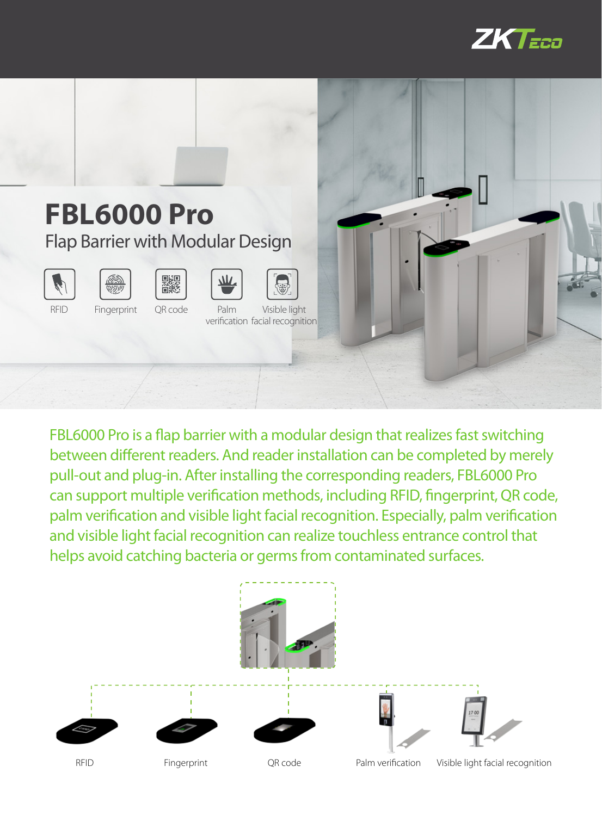



FBL6000 Pro is a flap barrier with a modular design that realizes fast switching between different readers. And reader installation can be completed by merely pull-out and plug-in. After installing the corresponding readers, FBL6000 Pro can support multiple verification methods, including RFID, fingerprint, QR code, palm verification and visible light facial recognition. Especially, palm verification and visible light facial recognition can realize touchless entrance control that helps avoid catching bacteria or germs from contaminated surfaces.